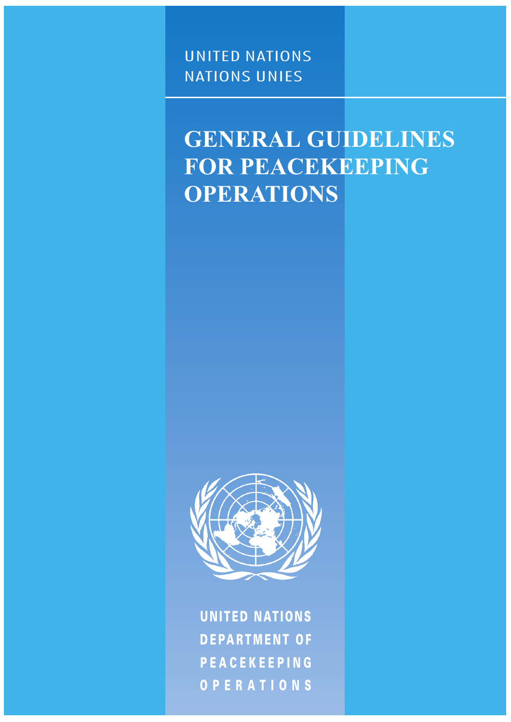### UNITED NATIONS NATIONS UNIES

# **GENERAL GUIDELINES FOR PEACEKEEPING OPERATIONS**



OPERATIONS PEACEKEEPING DEPARTMENT OF UNITED NATIONS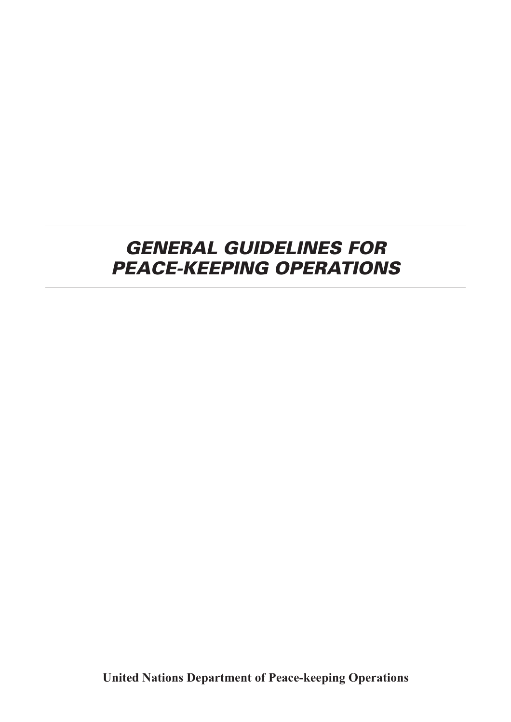## *GENERAL GUIDELINES FOR PEACE-KEEPING OPERATIONS*

**United Nations Department of Peace-keeping Operations**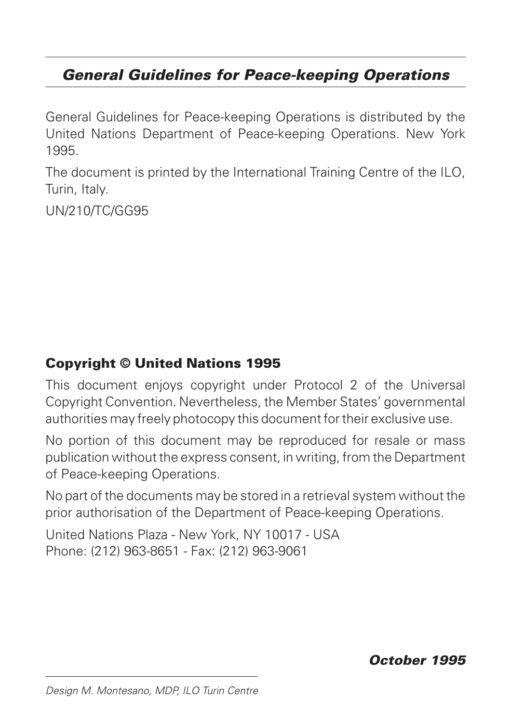### *General Guidelines for Peace-keeping Operations*

General Guidelines for Peace-keeping Operations is distributed by the United Nations Department of Peace-keeping Operations. New York 1995.

The document is printed by the International Training Centre of the ILO, Turin, Italy.

UN/210/TC/GG95

### Copyright © United Nations 1995

This document enjoys copyright under Protocol 2 of the Universal Copyright Convention. Nevertheless, the Member States' governmental authorities may freely photocopy this document for their exclusive use.

No portion of this document may be reproduced for resale or mass publication without the express consent, in writing, from the Department of Peace-keeping Operations.

No part of the documents may be stored in a retrieval system without the prior authorisation of the Department of Peace-keeping Operations.

United Nations Plaza - New York, NY 10017 - USA Phone: (212) 963-8651 - Fax: (212) 963-9061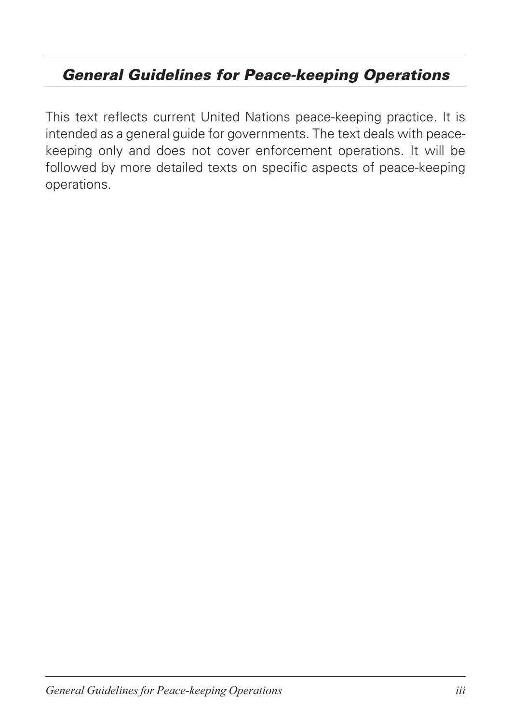### *General Guidelines for Peace-keeping Operations*

This text reflects current United Nations peace-keeping practice. It is intended as a general guide for governments. The text deals with peacekeeping only and does not cover enforcement operations. It will be followed by more detailed texts on specific aspects of peace-keeping operations.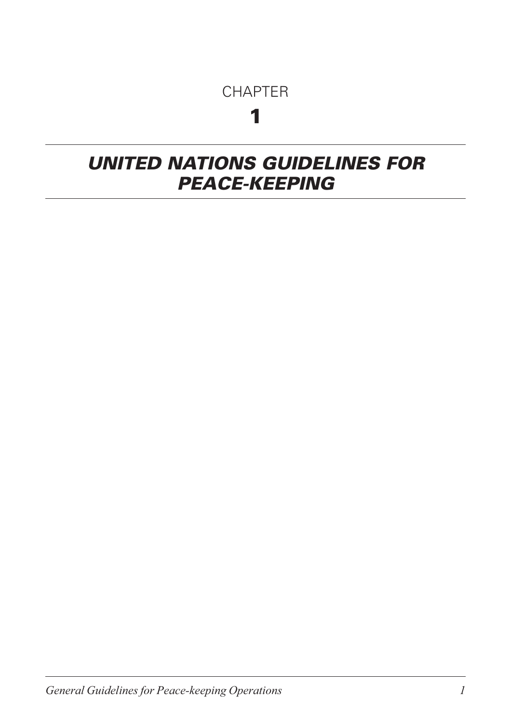### **CHAPTER**

## 1

## <span id="page-4-0"></span>*UNITED NATIONS GUIDELINES FOR PEACE-KEEPING*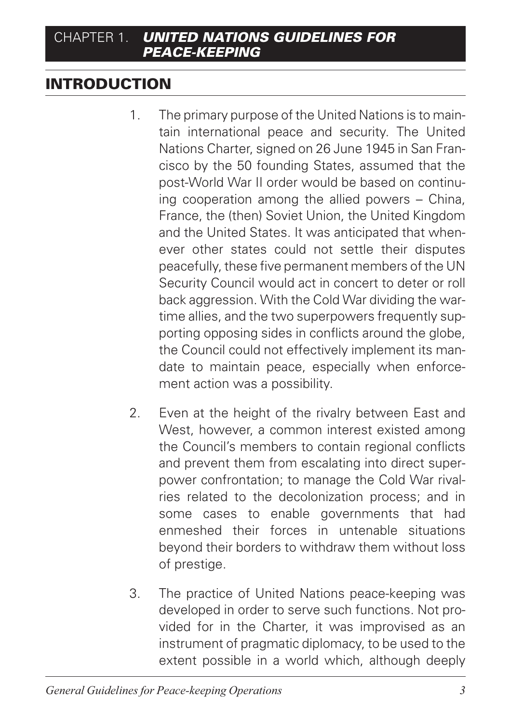### INTRODUCTION

- 1. The primary purpose of the United Nations is to maintain international peace and security. The United Nations Charter, signed on 26 June 1945 in San Francisco by the 50 founding States, assumed that the post-World War II order would be based on continuing cooperation among the allied powers – China, France, the (then) Soviet Union, the United Kingdom and the United States. It was anticipated that whenever other states could not settle their disputes peacefully, these five permanent members of the UN Security Council would act in concert to deter or roll back aggression. With the Cold War dividing the wartime allies, and the two superpowers frequently supporting opposing sides in conflicts around the globe, the Council could not effectively implement its mandate to maintain peace, especially when enforcement action was a possibility.
- 2. Even at the height of the rivalry between East and West, however, a common interest existed among the Council's members to contain regional conflicts and prevent them from escalating into direct superpower confrontation; to manage the Cold War rivalries related to the decolonization process; and in some cases to enable governments that had enmeshed their forces in untenable situations beyond their borders to withdraw them without loss of prestige.
- 3. The practice of United Nations peace-keeping was developed in order to serve such functions. Not provided for in the Charter, it was improvised as an instrument of pragmatic diplomacy, to be used to the extent possible in a world which, although deeply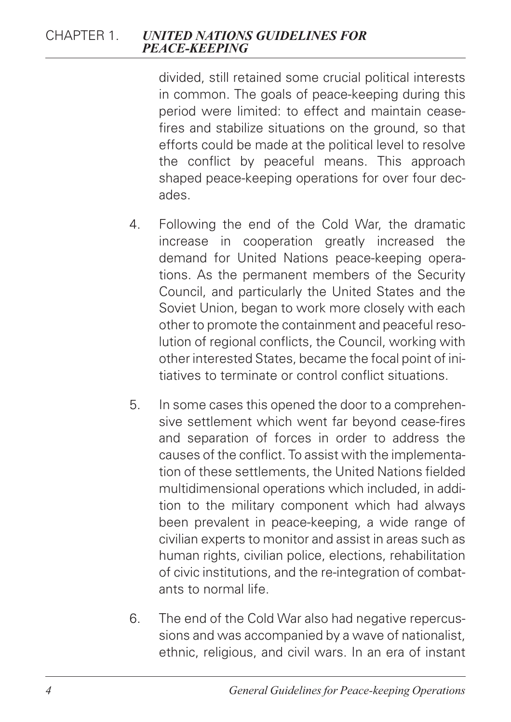divided, still retained some crucial political interests in common. The goals of peace-keeping during this period were limited: to effect and maintain ceasefires and stabilize situations on the ground, so that efforts could be made at the political level to resolve the conflict by peaceful means. This approach shaped peace-keeping operations for over four decades.

- 4. Following the end of the Cold War, the dramatic increase in cooperation greatly increased the demand for United Nations peace-keeping operations. As the permanent members of the Security Council, and particularly the United States and the Soviet Union, began to work more closely with each other to promote the containment and peaceful resolution of regional conflicts, the Council, working with other interested States, became the focal point of initiatives to terminate or control conflict situations.
- 5. In some cases this opened the door to a comprehensive settlement which went far beyond cease-fires and separation of forces in order to address the causes of the conflict. To assist with the implementation of these settlements, the United Nations fielded multidimensional operations which included, in addition to the military component which had always been prevalent in peace-keeping, a wide range of civilian experts to monitor and assist in areas such as human rights, civilian police, elections, rehabilitation of civic institutions, and the re-integration of combatants to normal life.
- 6. The end of the Cold War also had negative repercussions and was accompanied by a wave of nationalist, ethnic, religious, and civil wars. In an era of instant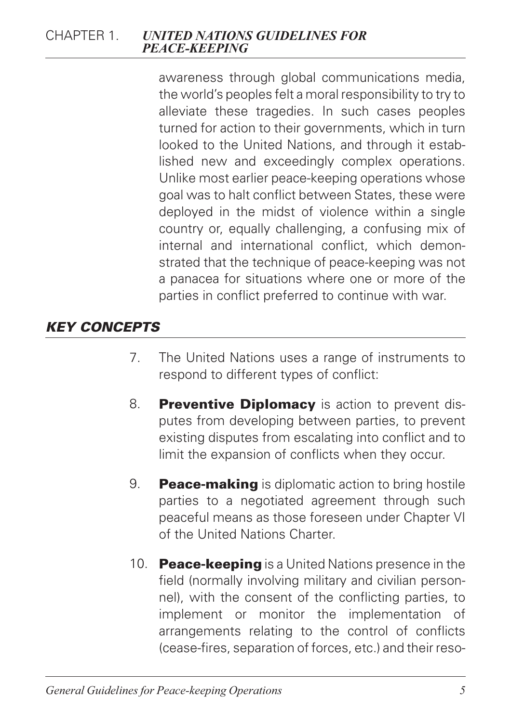awareness through global communications media, the world's peoples felt a moral responsibility to try to alleviate these tragedies. In such cases peoples turned for action to their governments, which in turn looked to the United Nations, and through it established new and exceedingly complex operations. Unlike most earlier peace-keeping operations whose goal was to halt conflict between States, these were deployed in the midst of violence within a single country or, equally challenging, a confusing mix of internal and international conflict, which demonstrated that the technique of peace-keeping was not a panacea for situations where one or more of the parties in conflict preferred to continue with war.

#### *KEY CONCEPTS*

- 7. The United Nations uses a range of instruments to respond to different types of conflict:
- 8. Preventive Diplomacy is action to prevent disputes from developing between parties, to prevent existing disputes from escalating into conflict and to limit the expansion of conflicts when they occur.
- 9. **Peace-making** is diplomatic action to bring hostile parties to a negotiated agreement through such peaceful means as those foreseen under Chapter VI of the United Nations Charter.
- 10. **Peace-keeping** is a United Nations presence in the field (normally involving military and civilian personnel), with the consent of the conflicting parties, to implement or monitor the implementation of arrangements relating to the control of conflicts (cease-fires, separation of forces, etc.) and their reso-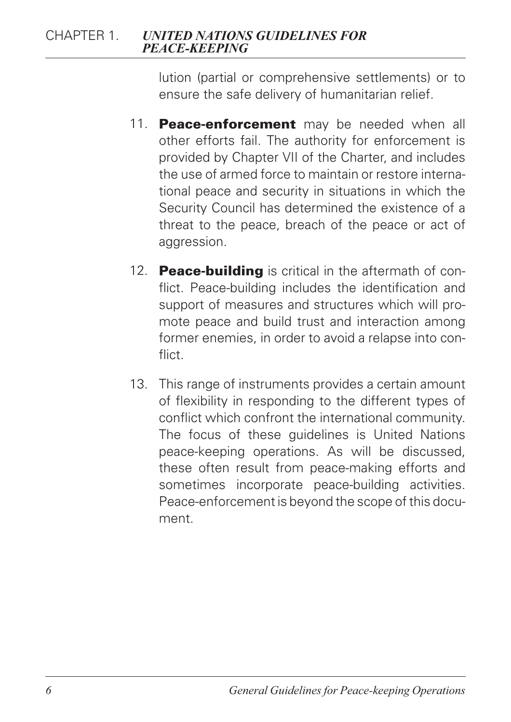lution (partial or comprehensive settlements) or to ensure the safe delivery of humanitarian relief.

- 11. **Peace-enforcement** may be needed when all other efforts fail. The authority for enforcement is provided by Chapter VII of the Charter, and includes the use of armed force to maintain or restore international peace and security in situations in which the Security Council has determined the existence of a threat to the peace, breach of the peace or act of aggression.
- 12. **Peace-building** is critical in the aftermath of conflict. Peace-building includes the identification and support of measures and structures which will promote peace and build trust and interaction among former enemies, in order to avoid a relapse into conflict.
- 13. This range of instruments provides a certain amount of flexibility in responding to the different types of conflict which confront the international community. The focus of these guidelines is United Nations peace-keeping operations. As will be discussed, these often result from peace-making efforts and sometimes incorporate peace-building activities. Peace-enforcement is beyond the scope of this document.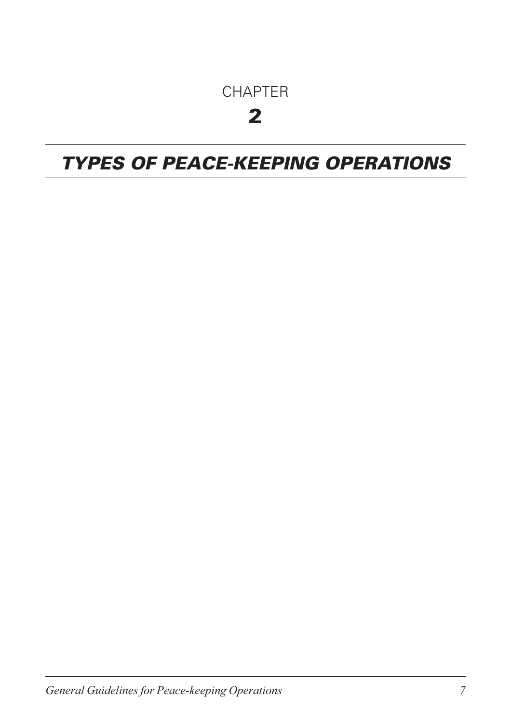## CHAPTER

## 2

## *TYPES OF PEACE-KEEPING OPERATIONS*

*General Guidelines for Peace-keeping Operations 7*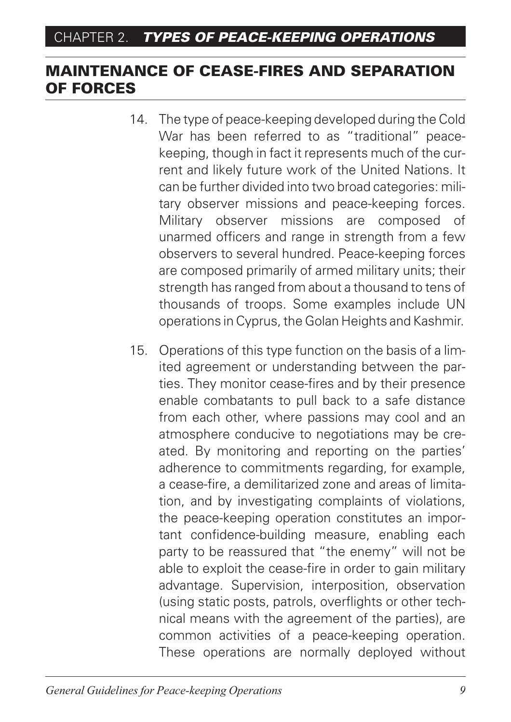### MAINTENANCE OF CEASE-FIRES AND SEPARATION OF FORCES

- 14. The type of peace-keeping developed during the Cold War has been referred to as "traditional" peacekeeping, though in fact it represents much of the current and likely future work of the United Nations. It can be further divided into two broad categories: military observer missions and peace-keeping forces. Military observer missions are composed of unarmed officers and range in strength from a few observers to several hundred. Peace-keeping forces are composed primarily of armed military units; their strength has ranged from about a thousand to tens of thousands of troops. Some examples include UN operations in Cyprus, the Golan Heights and Kashmir.
- 15. Operations of this type function on the basis of a limited agreement or understanding between the parties. They monitor cease-fires and by their presence enable combatants to pull back to a safe distance from each other, where passions may cool and an atmosphere conducive to negotiations may be created. By monitoring and reporting on the parties' adherence to commitments regarding, for example, a cease-fire, a demilitarized zone and areas of limitation, and by investigating complaints of violations, the peace-keeping operation constitutes an important confidence-building measure, enabling each party to be reassured that "the enemy" will not be able to exploit the cease-fire in order to gain military advantage. Supervision, interposition, observation (using static posts, patrols, overflights or other technical means with the agreement of the parties), are common activities of a peace-keeping operation. These operations are normally deployed without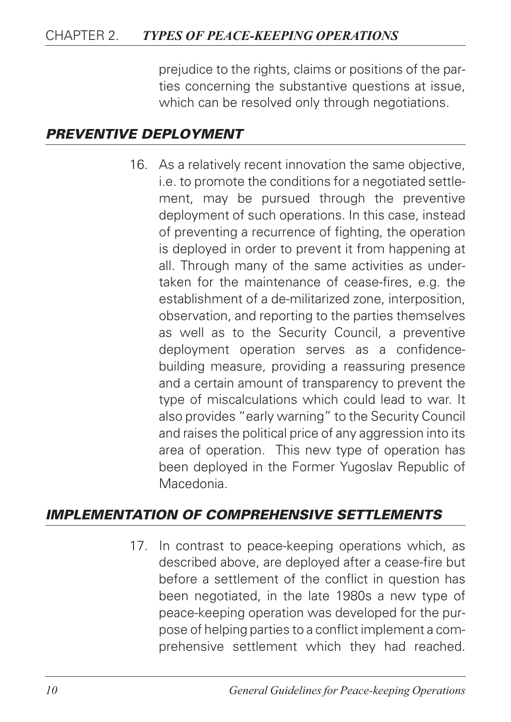#### CHAPTER 2. *TYPES OF PEACE-KEEPING OPERATIONS*

prejudice to the rights, claims or positions of the parties concerning the substantive questions at issue, which can be resolved only through negotiations.

#### *PREVENTIVE DEPLOYMENT*

16. As a relatively recent innovation the same objective, i.e. to promote the conditions for a negotiated settlement, may be pursued through the preventive deployment of such operations. In this case, instead of preventing a recurrence of fighting, the operation is deployed in order to prevent it from happening at all. Through many of the same activities as undertaken for the maintenance of cease-fires, e.g. the establishment of a de-militarized zone, interposition, observation, and reporting to the parties themselves as well as to the Security Council, a preventive deployment operation serves as a confidencebuilding measure, providing a reassuring presence and a certain amount of transparency to prevent the type of miscalculations which could lead to war. It also provides "early warning" to the Security Council and raises the political price of any aggression into its area of operation. This new type of operation has been deployed in the Former Yugoslav Republic of Macedonia.

#### *IMPLEMENTATION OF COMPREHENSIVE SETTLEMENTS*

17. In contrast to peace-keeping operations which, as described above, are deployed after a cease-fire but before a settlement of the conflict in question has been negotiated, in the late 1980s a new type of peace-keeping operation was developed for the purpose of helping parties to a conflict implement a comprehensive settlement which they had reached.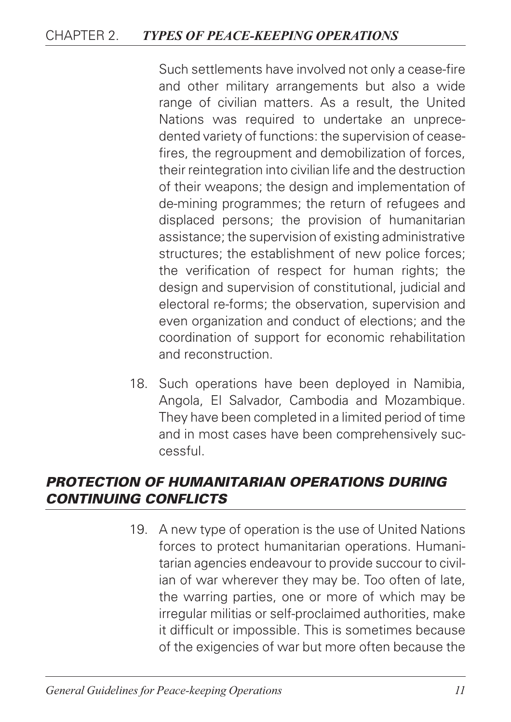#### CHAPTER 2. *TYPES OF PEACE-KEEPING OPERATIONS*

Such settlements have involved not only a cease-fire and other military arrangements but also a wide range of civilian matters. As a result, the United Nations was required to undertake an unprecedented variety of functions: the supervision of ceasefires, the regroupment and demobilization of forces, their reintegration into civilian life and the destruction of their weapons; the design and implementation of de-mining programmes; the return of refugees and displaced persons; the provision of humanitarian assistance; the supervision of existing administrative structures; the establishment of new police forces; the verification of respect for human rights; the design and supervision of constitutional, judicial and electoral re-forms; the observation, supervision and even organization and conduct of elections; and the coordination of support for economic rehabilitation and reconstruction.

18. Such operations have been deployed in Namibia, Angola, El Salvador, Cambodia and Mozambique. They have been completed in a limited period of time and in most cases have been comprehensively successful.

#### *PROTECTION OF HUMANITARIAN OPERATIONS DURING CONTINUING CONFLICTS*

19. A new type of operation is the use of United Nations forces to protect humanitarian operations. Humanitarian agencies endeavour to provide succour to civilian of war wherever they may be. Too often of late, the warring parties, one or more of which may be irregular militias or self-proclaimed authorities, make it difficult or impossible. This is sometimes because of the exigencies of war but more often because the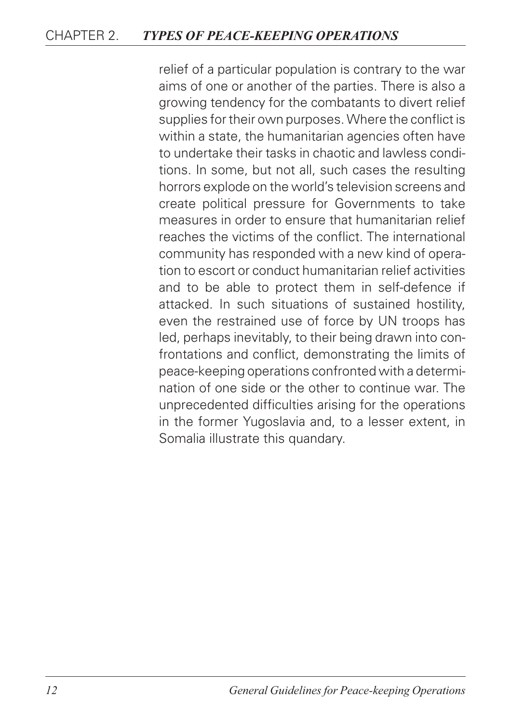#### CHAPTER 2. *TYPES OF PEACE-KEEPING OPERATIONS*

relief of a particular population is contrary to the war aims of one or another of the parties. There is also a growing tendency for the combatants to divert relief supplies for their own purposes. Where the conflict is within a state, the humanitarian agencies often have to undertake their tasks in chaotic and lawless conditions. In some, but not all, such cases the resulting horrors explode on the world's television screens and create political pressure for Governments to take measures in order to ensure that humanitarian relief reaches the victims of the conflict. The international community has responded with a new kind of operation to escort or conduct humanitarian relief activities and to be able to protect them in self-defence if attacked. In such situations of sustained hostility, even the restrained use of force by UN troops has led, perhaps inevitably, to their being drawn into confrontations and conflict, demonstrating the limits of peace-keeping operations confronted with a determination of one side or the other to continue war. The unprecedented difficulties arising for the operations in the former Yugoslavia and, to a lesser extent, in Somalia illustrate this quandary.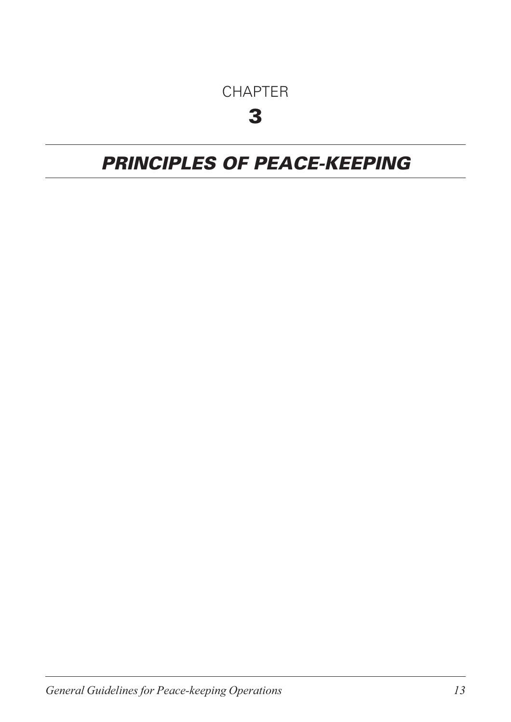## **CHAPTER**

## 3

## *PRINCIPLES OF PEACE-KEEPING*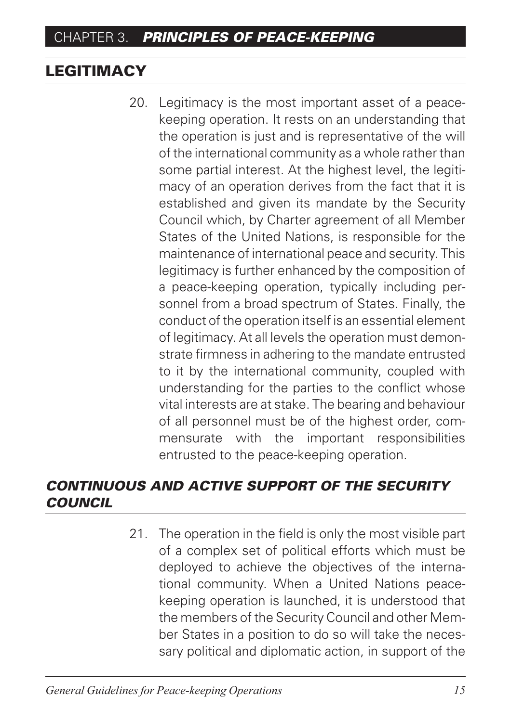### **LEGITIMACY**

20. Legitimacy is the most important asset of a peacekeeping operation. It rests on an understanding that the operation is just and is representative of the will of the international community as a whole rather than some partial interest. At the highest level, the legitimacy of an operation derives from the fact that it is established and given its mandate by the Security Council which, by Charter agreement of all Member States of the United Nations, is responsible for the maintenance of international peace and security. This legitimacy is further enhanced by the composition of a peace-keeping operation, typically including personnel from a broad spectrum of States. Finally, the conduct of the operation itself is an essential element of legitimacy. At all levels the operation must demonstrate firmness in adhering to the mandate entrusted to it by the international community, coupled with understanding for the parties to the conflict whose vital interests are at stake. The bearing and behaviour of all personnel must be of the highest order, commensurate with the important responsibilities entrusted to the peace-keeping operation.

### *CONTINUOUS AND ACTIVE SUPPORT OF THE SECURITY COUNCIL*

21. The operation in the field is only the most visible part of a complex set of political efforts which must be deployed to achieve the objectives of the international community. When a United Nations peacekeeping operation is launched, it is understood that the members of the Security Council and other Member States in a position to do so will take the necessary political and diplomatic action, in support of the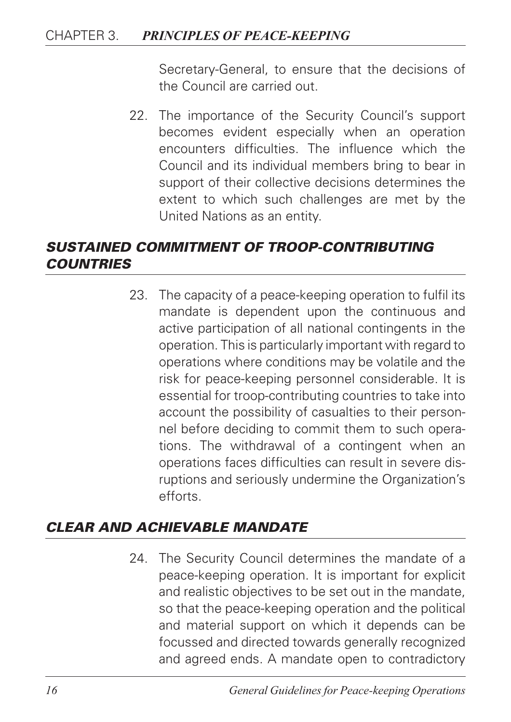Secretary-General, to ensure that the decisions of the Council are carried out.

22. The importance of the Security Council's support becomes evident especially when an operation encounters difficulties. The influence which the Council and its individual members bring to bear in support of their collective decisions determines the extent to which such challenges are met by the United Nations as an entity.

### *SUSTAINED COMMITMENT OF TROOP-CONTRIBUTING COUNTRIES*

23. The capacity of a peace-keeping operation to fulfil its mandate is dependent upon the continuous and active participation of all national contingents in the operation. This is particularly important with regard to operations where conditions may be volatile and the risk for peace-keeping personnel considerable. It is essential for troop-contributing countries to take into account the possibility of casualties to their personnel before deciding to commit them to such operations. The withdrawal of a contingent when an operations faces difficulties can result in severe disruptions and seriously undermine the Organization's efforts.

#### *CLEAR AND ACHIEVABLE MANDATE*

24. The Security Council determines the mandate of a peace-keeping operation. It is important for explicit and realistic objectives to be set out in the mandate, so that the peace-keeping operation and the political and material support on which it depends can be focussed and directed towards generally recognized and agreed ends. A mandate open to contradictory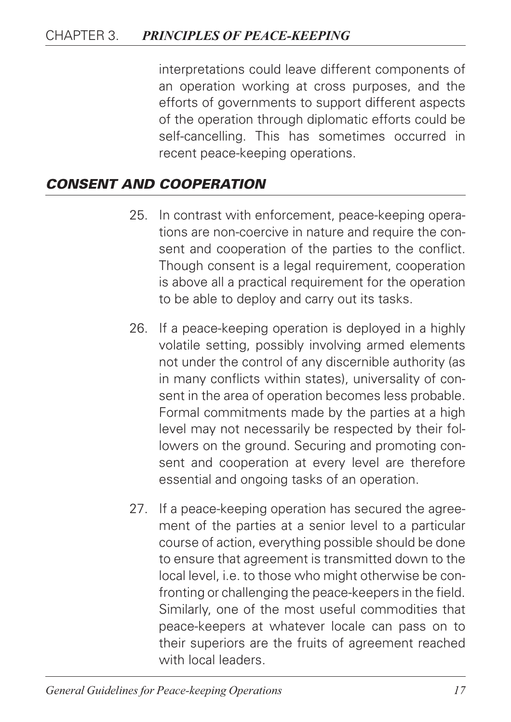interpretations could leave different components of an operation working at cross purposes, and the efforts of governments to support different aspects of the operation through diplomatic efforts could be self-cancelling. This has sometimes occurred in recent peace-keeping operations.

#### *CONSENT AND COOPERATION*

- 25. In contrast with enforcement, peace-keeping operations are non-coercive in nature and require the consent and cooperation of the parties to the conflict. Though consent is a legal requirement, cooperation is above all a practical requirement for the operation to be able to deploy and carry out its tasks.
- 26. If a peace-keeping operation is deployed in a highly volatile setting, possibly involving armed elements not under the control of any discernible authority (as in many conflicts within states), universality of consent in the area of operation becomes less probable. Formal commitments made by the parties at a high level may not necessarily be respected by their followers on the ground. Securing and promoting consent and cooperation at every level are therefore essential and ongoing tasks of an operation.
- 27. If a peace-keeping operation has secured the agreement of the parties at a senior level to a particular course of action, everything possible should be done to ensure that agreement is transmitted down to the local level, i.e. to those who might otherwise be confronting or challenging the peace-keepers in the field. Similarly, one of the most useful commodities that peace-keepers at whatever locale can pass on to their superiors are the fruits of agreement reached with local leaders.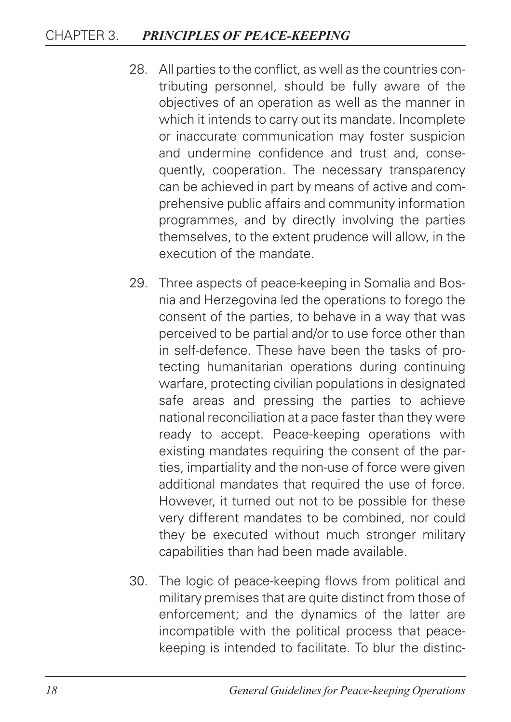- 28. All parties to the conflict, as well as the countries contributing personnel, should be fully aware of the objectives of an operation as well as the manner in which it intends to carry out its mandate. Incomplete or inaccurate communication may foster suspicion and undermine confidence and trust and, consequently, cooperation. The necessary transparency can be achieved in part by means of active and comprehensive public affairs and community information programmes, and by directly involving the parties themselves, to the extent prudence will allow, in the execution of the mandate.
- 29. Three aspects of peace-keeping in Somalia and Bosnia and Herzegovina led the operations to forego the consent of the parties, to behave in a way that was perceived to be partial and/or to use force other than in self-defence. These have been the tasks of protecting humanitarian operations during continuing warfare, protecting civilian populations in designated safe areas and pressing the parties to achieve national reconciliation at a pace faster than they were ready to accept. Peace-keeping operations with existing mandates requiring the consent of the parties, impartiality and the non-use of force were given additional mandates that required the use of force. However, it turned out not to be possible for these very different mandates to be combined, nor could they be executed without much stronger military capabilities than had been made available.
- 30. The logic of peace-keeping flows from political and military premises that are quite distinct from those of enforcement; and the dynamics of the latter are incompatible with the political process that peacekeeping is intended to facilitate. To blur the distinc-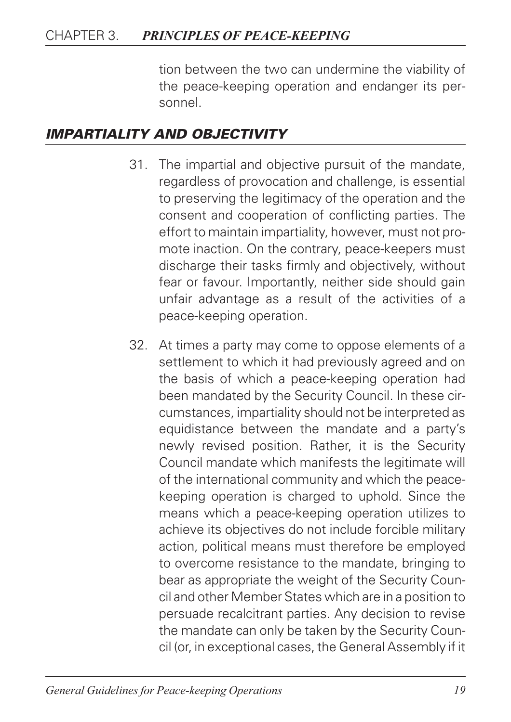tion between the two can undermine the viability of the peace-keeping operation and endanger its personnel.

#### *IMPARTIALITY AND OBJECTIVITY*

- 31. The impartial and objective pursuit of the mandate, regardless of provocation and challenge, is essential to preserving the legitimacy of the operation and the consent and cooperation of conflicting parties. The effort to maintain impartiality, however, must not promote inaction. On the contrary, peace-keepers must discharge their tasks firmly and objectively, without fear or favour. Importantly, neither side should gain unfair advantage as a result of the activities of a peace-keeping operation.
- 32. At times a party may come to oppose elements of a settlement to which it had previously agreed and on the basis of which a peace-keeping operation had been mandated by the Security Council. In these circumstances, impartiality should not be interpreted as equidistance between the mandate and a party's newly revised position. Rather, it is the Security Council mandate which manifests the legitimate will of the international community and which the peacekeeping operation is charged to uphold. Since the means which a peace-keeping operation utilizes to achieve its objectives do not include forcible military action, political means must therefore be employed to overcome resistance to the mandate, bringing to bear as appropriate the weight of the Security Council and other Member States which are in a position to persuade recalcitrant parties. Any decision to revise the mandate can only be taken by the Security Council (or, in exceptional cases, the General Assembly if it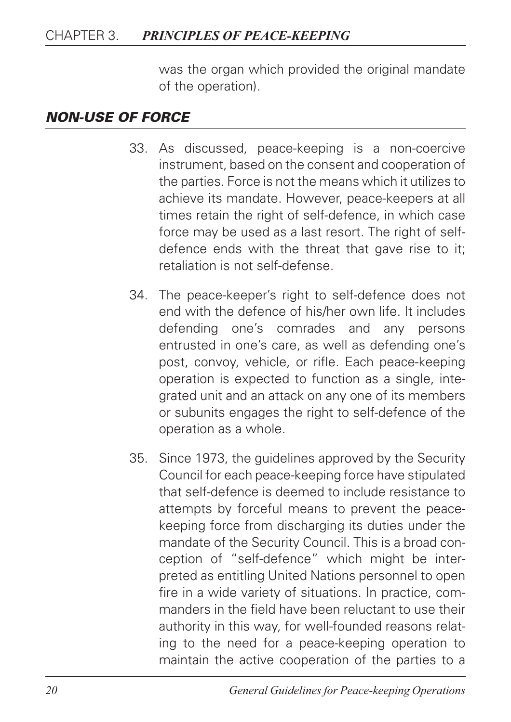was the organ which provided the original mandate of the operation).

#### *NON-USE OF FORCE*

- 33. As discussed, peace-keeping is a non-coercive instrument, based on the consent and cooperation of the parties. Force is not the means which it utilizes to achieve its mandate. However, peace-keepers at all times retain the right of self-defence, in which case force may be used as a last resort. The right of selfdefence ends with the threat that gave rise to it; retaliation is not self-defense.
- 34. The peace-keeper's right to self-defence does not end with the defence of his/her own life. It includes defending one's comrades and any persons entrusted in one's care, as well as defending one's post, convoy, vehicle, or rifle. Each peace-keeping operation is expected to function as a single, integrated unit and an attack on any one of its members or subunits engages the right to self-defence of the operation as a whole.
- 35. Since 1973, the guidelines approved by the Security Council for each peace-keeping force have stipulated that self-defence is deemed to include resistance to attempts by forceful means to prevent the peacekeeping force from discharging its duties under the mandate of the Security Council. This is a broad conception of "self-defence" which might be interpreted as entitling United Nations personnel to open fire in a wide variety of situations. In practice, commanders in the field have been reluctant to use their authority in this way, for well-founded reasons relating to the need for a peace-keeping operation to maintain the active cooperation of the parties to a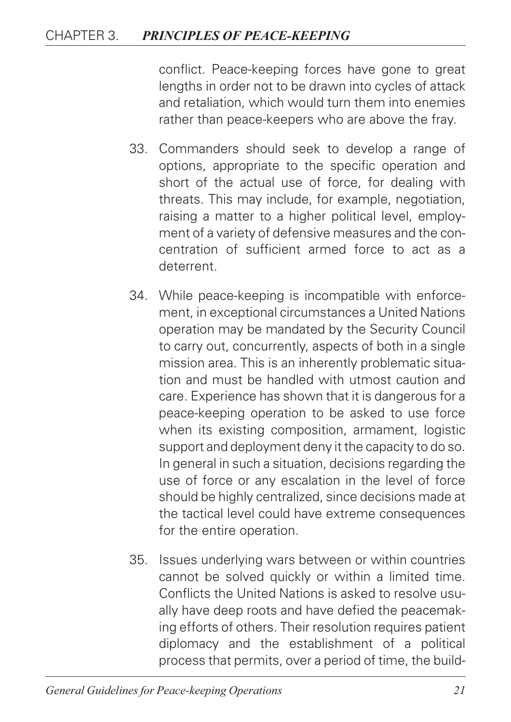conflict. Peace-keeping forces have gone to great lengths in order not to be drawn into cycles of attack and retaliation, which would turn them into enemies rather than peace-keepers who are above the fray.

- 33. Commanders should seek to develop a range of options, appropriate to the specific operation and short of the actual use of force, for dealing with threats. This may include, for example, negotiation, raising a matter to a higher political level, employment of a variety of defensive measures and the concentration of sufficient armed force to act as a deterrent.
- 34. While peace-keeping is incompatible with enforcement, in exceptional circumstances a United Nations operation may be mandated by the Security Council to carry out, concurrently, aspects of both in a single mission area. This is an inherently problematic situation and must be handled with utmost caution and care. Experience has shown that it is dangerous for a peace-keeping operation to be asked to use force when its existing composition, armament, logistic support and deployment deny it the capacity to do so. In general in such a situation, decisions regarding the use of force or any escalation in the level of force should be highly centralized, since decisions made at the tactical level could have extreme consequences for the entire operation.
- 35. Issues underlying wars between or within countries cannot be solved quickly or within a limited time. Conflicts the United Nations is asked to resolve usually have deep roots and have defied the peacemaking efforts of others. Their resolution requires patient diplomacy and the establishment of a political process that permits, over a period of time, the build-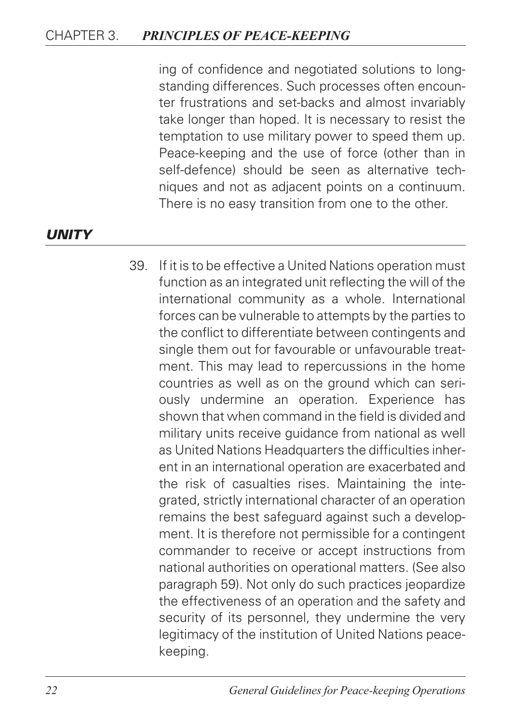ing of confidence and negotiated solutions to longstanding differences. Such processes often encounter frustrations and set-backs and almost invariably take longer than hoped. It is necessary to resist the temptation to use military power to speed them up. Peace-keeping and the use of force (other than in self-defence) should be seen as alternative techniques and not as adjacent points on a continuum. There is no easy transition from one to the other.

#### *UNITY*

39. If it is to be effective a United Nations operation must function as an integrated unit reflecting the will of the international community as a whole. International forces can be vulnerable to attempts by the parties to the conflict to differentiate between contingents and single them out for favourable or unfavourable treatment. This may lead to repercussions in the home countries as well as on the ground which can seriously undermine an operation. Experience has shown that when command in the field is divided and military units receive guidance from national as well as United Nations Headquarters the difficulties inherent in an international operation are exacerbated and the risk of casualties rises. Maintaining the integrated, strictly international character of an operation remains the best safeguard against such a development. It is therefore not permissible for a contingent commander to receive or accept instructions from national authorities on operational matters. (See also paragraph 59). Not only do such practices jeopardize the effectiveness of an operation and the safety and security of its personnel, they undermine the very legitimacy of the institution of United Nations peacekeeping.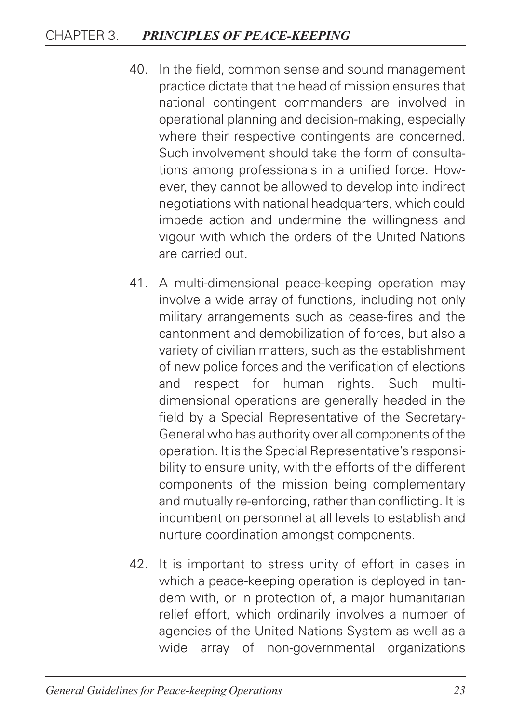- 40. In the field, common sense and sound management practice dictate that the head of mission ensures that national contingent commanders are involved in operational planning and decision-making, especially where their respective contingents are concerned. Such involvement should take the form of consultations among professionals in a unified force. However, they cannot be allowed to develop into indirect negotiations with national headquarters, which could impede action and undermine the willingness and vigour with which the orders of the United Nations are carried out.
- 41. A multi-dimensional peace-keeping operation may involve a wide array of functions, including not only military arrangements such as cease-fires and the cantonment and demobilization of forces, but also a variety of civilian matters, such as the establishment of new police forces and the verification of elections and respect for human rights. Such multidimensional operations are generally headed in the field by a Special Representative of the Secretary-General who has authority over all components of the operation. It is the Special Representative's responsibility to ensure unity, with the efforts of the different components of the mission being complementary and mutually re-enforcing, rather than conflicting. It is incumbent on personnel at all levels to establish and nurture coordination amongst components.
- 42. It is important to stress unity of effort in cases in which a peace-keeping operation is deployed in tandem with, or in protection of, a major humanitarian relief effort, which ordinarily involves a number of agencies of the United Nations System as well as a wide array of non-governmental organizations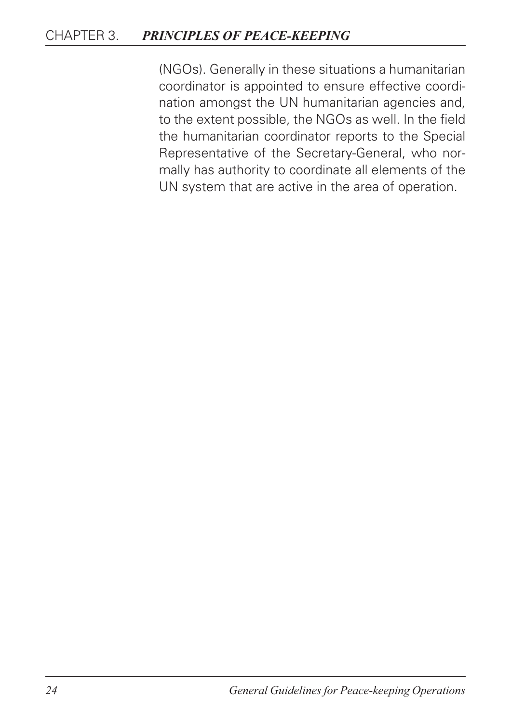(NGOs). Generally in these situations a humanitarian coordinator is appointed to ensure effective coordination amongst the UN humanitarian agencies and, to the extent possible, the NGOs as well. In the field the humanitarian coordinator reports to the Special Representative of the Secretary-General, who normally has authority to coordinate all elements of the UN system that are active in the area of operation.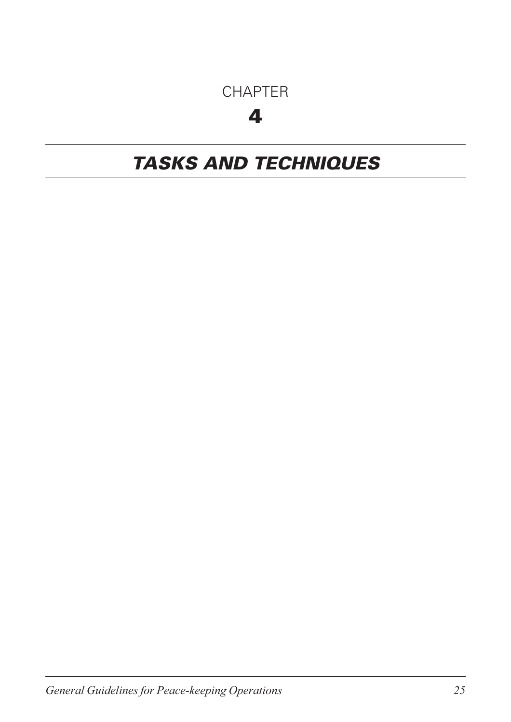### CHAPTER

## 4

## *TASKS AND TECHNIQUES*

*General Guidelines for Peace-keeping Operations 25*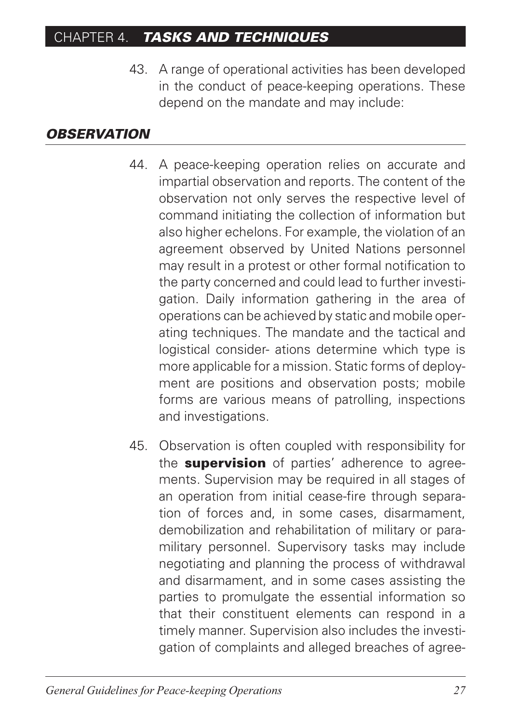43. A range of operational activities has been developed in the conduct of peace-keeping operations. These depend on the mandate and may include:

#### *OBSERVATION*

- 44. A peace-keeping operation relies on accurate and impartial observation and reports. The content of the observation not only serves the respective level of command initiating the collection of information but also higher echelons. For example, the violation of an agreement observed by United Nations personnel may result in a protest or other formal notification to the party concerned and could lead to further investigation. Daily information gathering in the area of operations can be achieved by static and mobile operating techniques. The mandate and the tactical and logistical consider- ations determine which type is more applicable for a mission. Static forms of deployment are positions and observation posts; mobile forms are various means of patrolling, inspections and investigations.
- 45. Observation is often coupled with responsibility for the **supervision** of parties' adherence to agreements. Supervision may be required in all stages of an operation from initial cease-fire through separation of forces and, in some cases, disarmament, demobilization and rehabilitation of military or paramilitary personnel. Supervisory tasks may include negotiating and planning the process of withdrawal and disarmament, and in some cases assisting the parties to promulgate the essential information so that their constituent elements can respond in a timely manner. Supervision also includes the investigation of complaints and alleged breaches of agree-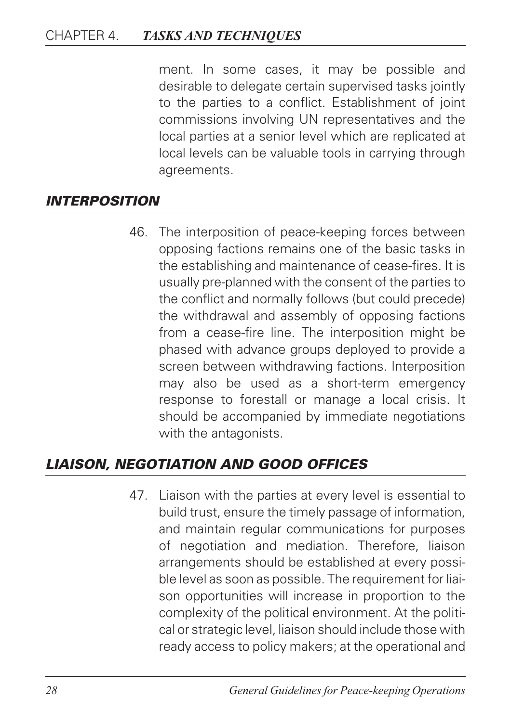ment. In some cases, it may be possible and desirable to delegate certain supervised tasks jointly to the parties to a conflict. Establishment of joint commissions involving UN representatives and the local parties at a senior level which are replicated at local levels can be valuable tools in carrying through agreements.

#### *INTERPOSITION*

46. The interposition of peace-keeping forces between opposing factions remains one of the basic tasks in the establishing and maintenance of cease-fires. It is usually pre-planned with the consent of the parties to the conflict and normally follows (but could precede) the withdrawal and assembly of opposing factions from a cease-fire line. The interposition might be phased with advance groups deployed to provide a screen between withdrawing factions. Interposition may also be used as a short-term emergency response to forestall or manage a local crisis. It should be accompanied by immediate negotiations with the antagonists.

#### *LIAISON, NEGOTIATION AND GOOD OFFICES*

47. Liaison with the parties at every level is essential to build trust, ensure the timely passage of information, and maintain regular communications for purposes of negotiation and mediation. Therefore, liaison arrangements should be established at every possible level as soon as possible. The requirement for liaison opportunities will increase in proportion to the complexity of the political environment. At the political or strategic level, liaison should include those with ready access to policy makers; at the operational and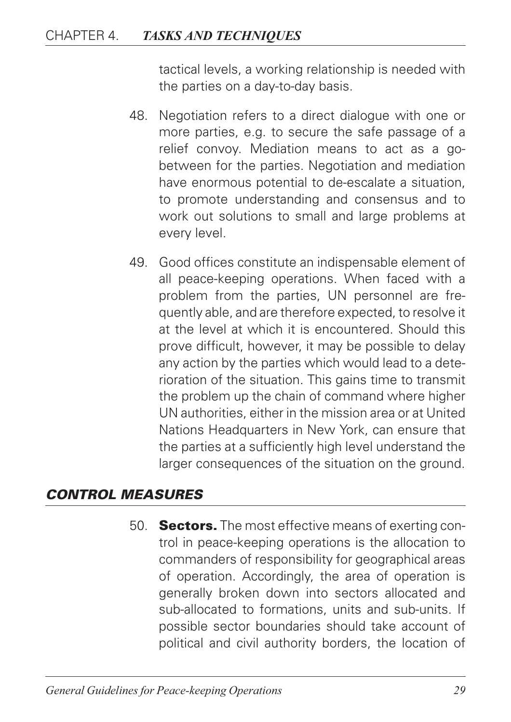tactical levels, a working relationship is needed with the parties on a day-to-day basis.

- 48. Negotiation refers to a direct dialogue with one or more parties, e.g. to secure the safe passage of a relief convoy. Mediation means to act as a gobetween for the parties. Negotiation and mediation have enormous potential to de-escalate a situation, to promote understanding and consensus and to work out solutions to small and large problems at every level.
- 49. Good offices constitute an indispensable element of all peace-keeping operations. When faced with a problem from the parties, UN personnel are frequently able, and are therefore expected, to resolve it at the level at which it is encountered. Should this prove difficult, however, it may be possible to delay any action by the parties which would lead to a deterioration of the situation. This gains time to transmit the problem up the chain of command where higher UN authorities, either in the mission area or at United Nations Headquarters in New York, can ensure that the parties at a sufficiently high level understand the larger consequences of the situation on the ground.

#### *CONTROL MEASURES*

50. **Sectors.** The most effective means of exerting control in peace-keeping operations is the allocation to commanders of responsibility for geographical areas of operation. Accordingly, the area of operation is generally broken down into sectors allocated and sub-allocated to formations, units and sub-units. If possible sector boundaries should take account of political and civil authority borders, the location of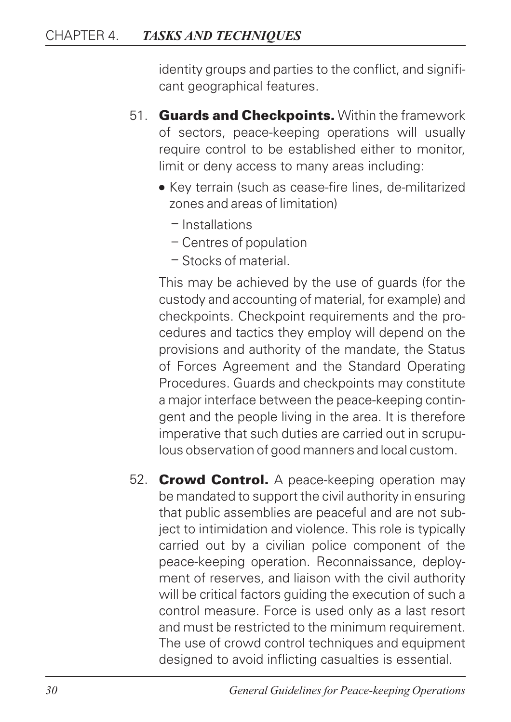identity groups and parties to the conflict, and significant geographical features.

- 51. **Guards and Checkpoints.** Within the framework of sectors, peace-keeping operations will usually require control to be established either to monitor, limit or deny access to many areas including:
	- Key terrain (such as cease-fire lines, de-militarized zones and areas of limitation)
		- Installations
		- Centres of population
		- Stocks of material.

This may be achieved by the use of guards (for the custody and accounting of material, for example) and checkpoints. Checkpoint requirements and the procedures and tactics they employ will depend on the provisions and authority of the mandate, the Status of Forces Agreement and the Standard Operating Procedures. Guards and checkpoints may constitute a major interface between the peace-keeping contingent and the people living in the area. It is therefore imperative that such duties are carried out in scrupulous observation of good manners and local custom.

52. **Crowd Control.** A peace-keeping operation may be mandated to support the civil authority in ensuring that public assemblies are peaceful and are not subject to intimidation and violence. This role is typically carried out by a civilian police component of the peace-keeping operation. Reconnaissance, deployment of reserves, and liaison with the civil authority will be critical factors guiding the execution of such a control measure. Force is used only as a last resort and must be restricted to the minimum requirement. The use of crowd control techniques and equipment designed to avoid inflicting casualties is essential.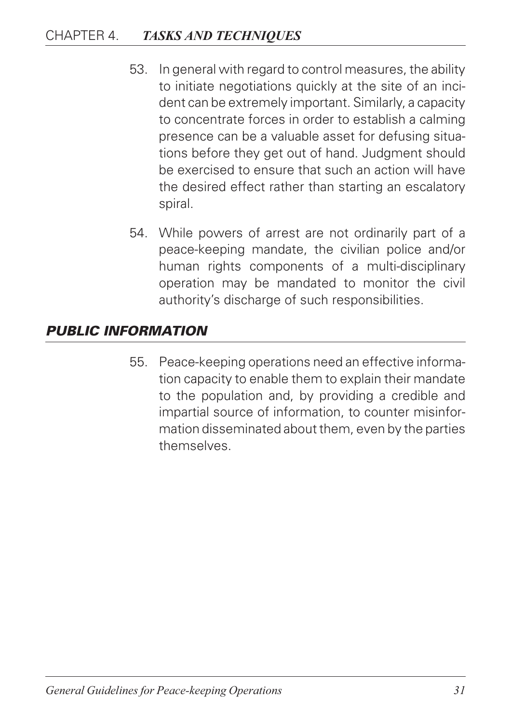- 53. In general with regard to control measures, the ability to initiate negotiations quickly at the site of an incident can be extremely important. Similarly, a capacity to concentrate forces in order to establish a calming presence can be a valuable asset for defusing situations before they get out of hand. Judgment should be exercised to ensure that such an action will have the desired effect rather than starting an escalatory spiral.
- 54. While powers of arrest are not ordinarily part of a peace-keeping mandate, the civilian police and/or human rights components of a multi-disciplinary operation may be mandated to monitor the civil authority's discharge of such responsibilities.

#### *PUBLIC INFORMATION*

55. Peace-keeping operations need an effective information capacity to enable them to explain their mandate to the population and, by providing a credible and impartial source of information, to counter misinformation disseminated about them, even by the parties themselves.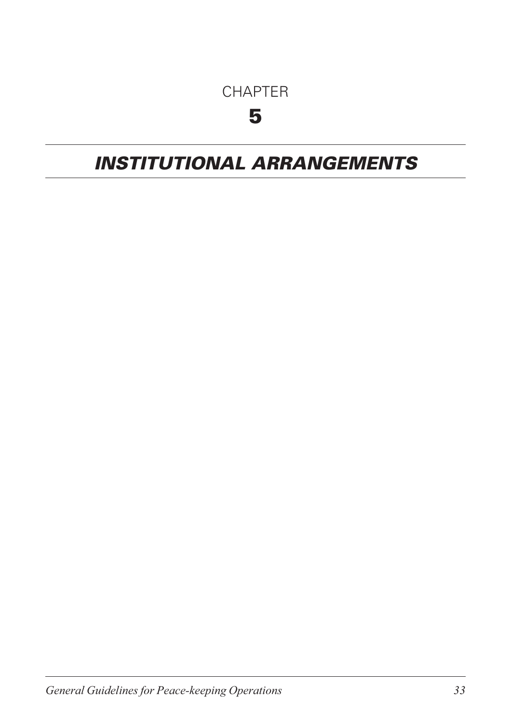### CHAPTER

## 5

## *INSTITUTIONAL ARRANGEMENTS*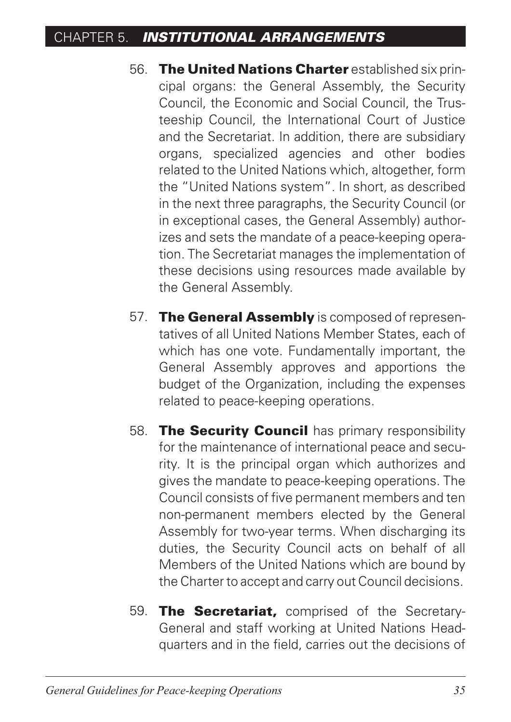- 56. The United Nations Charter established six principal organs: the General Assembly, the Security Council, the Economic and Social Council, the Trusteeship Council, the International Court of Justice and the Secretariat. In addition, there are subsidiary organs, specialized agencies and other bodies related to the United Nations which, altogether, form the "United Nations system". In short, as described in the next three paragraphs, the Security Council (or in exceptional cases, the General Assembly) authorizes and sets the mandate of a peace-keeping operation. The Secretariat manages the implementation of these decisions using resources made available by the General Assembly.
- 57. The General Assembly is composed of representatives of all United Nations Member States, each of which has one vote. Fundamentally important, the General Assembly approves and apportions the budget of the Organization, including the expenses related to peace-keeping operations.
- 58. The Security Council has primary responsibility for the maintenance of international peace and security. It is the principal organ which authorizes and gives the mandate to peace-keeping operations. The Council consists of five permanent members and ten non-permanent members elected by the General Assembly for two-year terms. When discharging its duties, the Security Council acts on behalf of all Members of the United Nations which are bound by the Charter to accept and carry out Council decisions.
- 59. The Secretariat, comprised of the Secretary-General and staff working at United Nations Headquarters and in the field, carries out the decisions of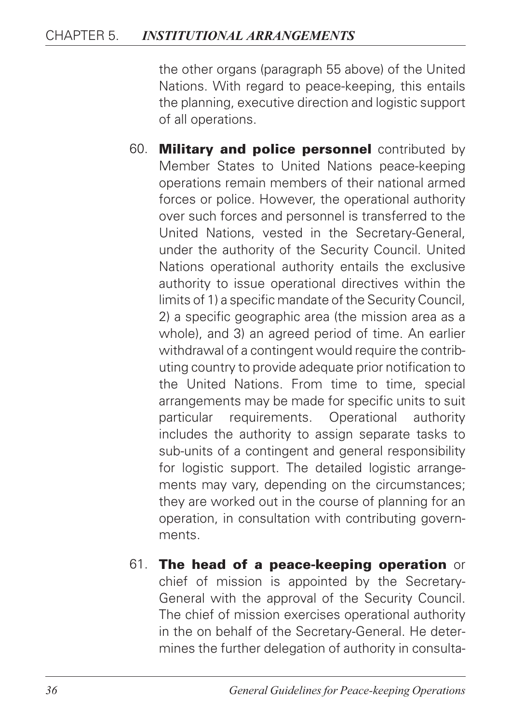the other organs (paragraph 55 above) of the United Nations. With regard to peace-keeping, this entails the planning, executive direction and logistic support of all operations.

- 60. Military and police personnel contributed by Member States to United Nations peace-keeping operations remain members of their national armed forces or police. However, the operational authority over such forces and personnel is transferred to the United Nations, vested in the Secretary-General, under the authority of the Security Council. United Nations operational authority entails the exclusive authority to issue operational directives within the limits of 1) a specific mandate of the Security Council, 2) a specific geographic area (the mission area as a whole), and 3) an agreed period of time. An earlier withdrawal of a contingent would require the contributing country to provide adequate prior notification to the United Nations. From time to time, special arrangements may be made for specific units to suit particular requirements. Operational authority includes the authority to assign separate tasks to sub-units of a contingent and general responsibility for logistic support. The detailed logistic arrangements may vary, depending on the circumstances; they are worked out in the course of planning for an operation, in consultation with contributing governments.
- 61. The head of a peace-keeping operation or chief of mission is appointed by the Secretary-General with the approval of the Security Council. The chief of mission exercises operational authority in the on behalf of the Secretary-General. He determines the further delegation of authority in consulta-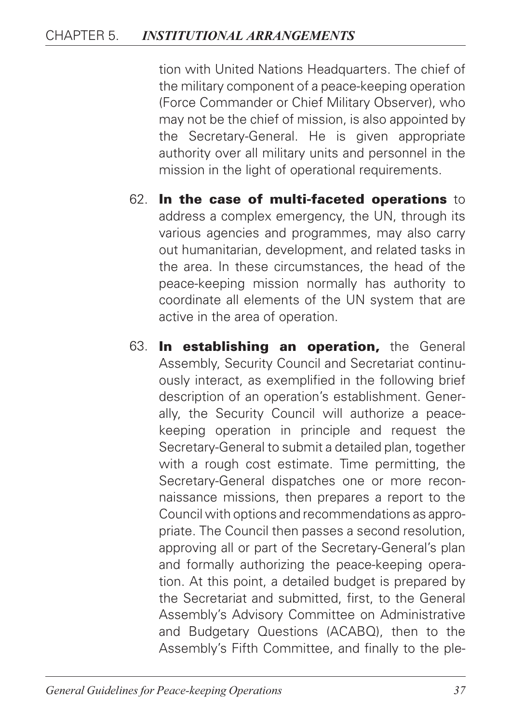tion with United Nations Headquarters. The chief of the military component of a peace-keeping operation (Force Commander or Chief Military Observer), who may not be the chief of mission, is also appointed by the Secretary-General. He is given appropriate authority over all military units and personnel in the mission in the light of operational requirements.

- 62. In the case of multi-faceted operations to address a complex emergency, the UN, through its various agencies and programmes, may also carry out humanitarian, development, and related tasks in the area. In these circumstances, the head of the peace-keeping mission normally has authority to coordinate all elements of the UN system that are active in the area of operation.
- 63. In establishing an operation, the General Assembly, Security Council and Secretariat continuously interact, as exemplified in the following brief description of an operation's establishment. Generally, the Security Council will authorize a peacekeeping operation in principle and request the Secretary-General to submit a detailed plan, together with a rough cost estimate. Time permitting, the Secretary-General dispatches one or more reconnaissance missions, then prepares a report to the Council with options and recommendations as appropriate. The Council then passes a second resolution, approving all or part of the Secretary-General's plan and formally authorizing the peace-keeping operation. At this point, a detailed budget is prepared by the Secretariat and submitted, first, to the General Assembly's Advisory Committee on Administrative and Budgetary Questions (ACABQ), then to the Assembly's Fifth Committee, and finally to the ple-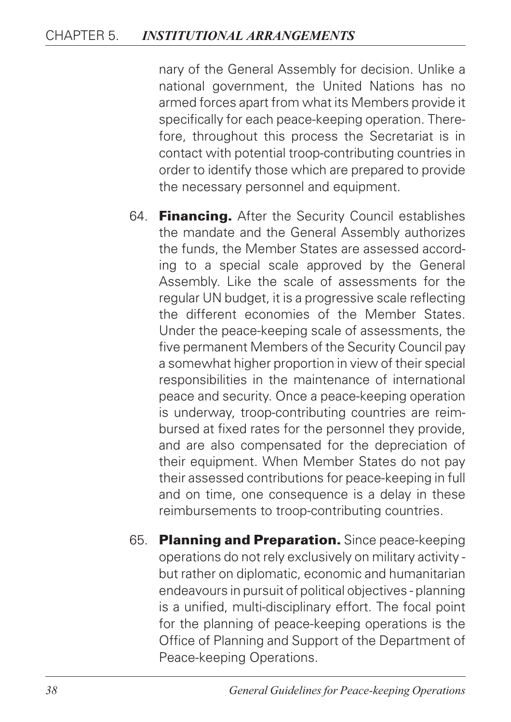nary of the General Assembly for decision. Unlike a national government, the United Nations has no armed forces apart from what its Members provide it specifically for each peace-keeping operation. Therefore, throughout this process the Secretariat is in contact with potential troop-contributing countries in order to identify those which are prepared to provide the necessary personnel and equipment.

- 64. Financing. After the Security Council establishes the mandate and the General Assembly authorizes the funds, the Member States are assessed according to a special scale approved by the General Assembly. Like the scale of assessments for the regular UN budget, it is a progressive scale reflecting the different economies of the Member States. Under the peace-keeping scale of assessments, the five permanent Members of the Security Council pay a somewhat higher proportion in view of their special responsibilities in the maintenance of international peace and security. Once a peace-keeping operation is underway, troop-contributing countries are reimbursed at fixed rates for the personnel they provide, and are also compensated for the depreciation of their equipment. When Member States do not pay their assessed contributions for peace-keeping in full and on time, one consequence is a delay in these reimbursements to troop-contributing countries.
- 65. Planning and Preparation. Since peace-keeping operations do not rely exclusively on military activity but rather on diplomatic, economic and humanitarian endeavours in pursuit of political objectives - planning is a unified, multi-disciplinary effort. The focal point for the planning of peace-keeping operations is the Office of Planning and Support of the Department of Peace-keeping Operations.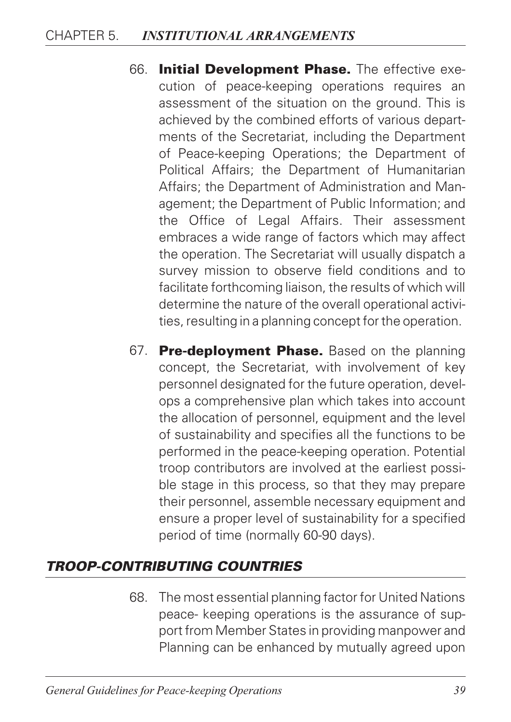- 66. Initial Development Phase. The effective execution of peace-keeping operations requires an assessment of the situation on the ground. This is achieved by the combined efforts of various departments of the Secretariat, including the Department of Peace-keeping Operations; the Department of Political Affairs; the Department of Humanitarian Affairs; the Department of Administration and Management; the Department of Public Information; and the Office of Legal Affairs. Their assessment embraces a wide range of factors which may affect the operation. The Secretariat will usually dispatch a survey mission to observe field conditions and to facilitate forthcoming liaison, the results of which will determine the nature of the overall operational activities, resulting in a planning concept for the operation.
- 67. Pre-deployment Phase. Based on the planning concept, the Secretariat, with involvement of key personnel designated for the future operation, develops a comprehensive plan which takes into account the allocation of personnel, equipment and the level of sustainability and specifies all the functions to be performed in the peace-keeping operation. Potential troop contributors are involved at the earliest possible stage in this process, so that they may prepare their personnel, assemble necessary equipment and ensure a proper level of sustainability for a specified period of time (normally 60-90 days).

### *TROOP-CONTRIBUTING COUNTRIES*

68. The most essential planning factor for United Nations peace- keeping operations is the assurance of support from Member States in providing manpower and Planning can be enhanced by mutually agreed upon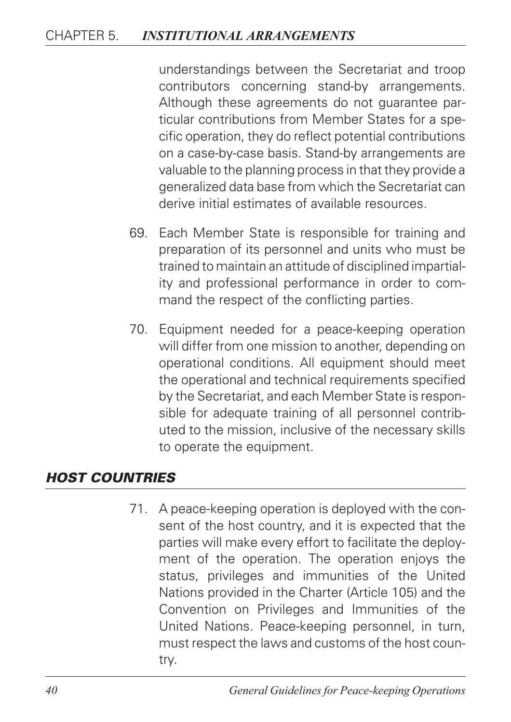understandings between the Secretariat and troop contributors concerning stand-by arrangements. Although these agreements do not guarantee particular contributions from Member States for a specific operation, they do reflect potential contributions on a case-by-case basis. Stand-by arrangements are valuable to the planning process in that they provide a generalized data base from which the Secretariat can derive initial estimates of available resources.

- 69. Each Member State is responsible for training and preparation of its personnel and units who must be trained to maintain an attitude of disciplined impartiality and professional performance in order to command the respect of the conflicting parties.
- 70. Equipment needed for a peace-keeping operation will differ from one mission to another, depending on operational conditions. All equipment should meet the operational and technical requirements specified by the Secretariat, and each Member State is responsible for adequate training of all personnel contributed to the mission, inclusive of the necessary skills to operate the equipment.

#### *HOST COUNTRIES*

71. A peace-keeping operation is deployed with the consent of the host country, and it is expected that the parties will make every effort to facilitate the deployment of the operation. The operation enjoys the status, privileges and immunities of the United Nations provided in the Charter (Article 105) and the Convention on Privileges and Immunities of the United Nations. Peace-keeping personnel, in turn, must respect the laws and customs of the host country.